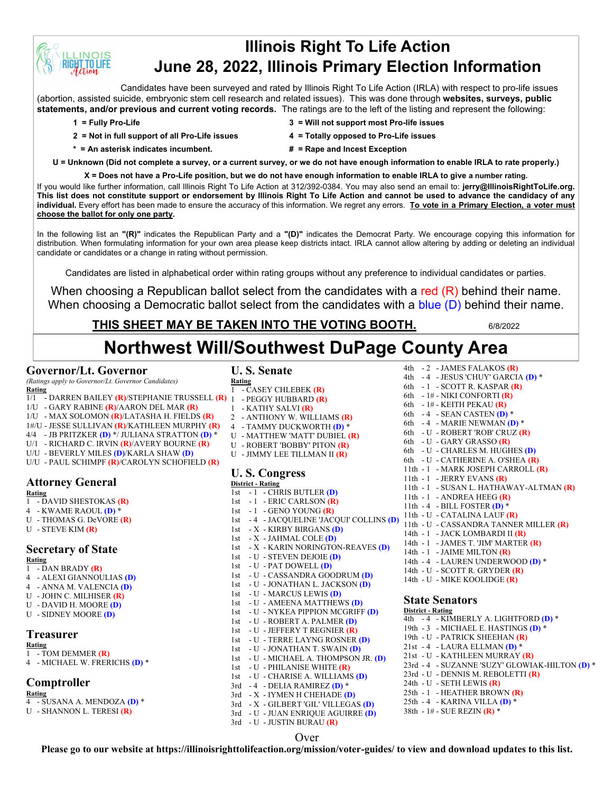# **Illinois Right To Life Action June 28, 2022, Illinois Primary Election Information**

Candidates have been surveyed and rated by Illinois Right To Life Action (IRLA) with respect to pro-life issues (abortion, assisted suicide, embryonic stem cell research and related issues). This was done through **websites, surveys, public statements, and/or previous and current voting records.** The ratings are to the left of the listing and represent the following:

**INOIS T.TO LIFE** 

- **2 = Not in full support of all Pro-Life issues 4 = Totally opposed to Pro-Life issues**
- **1 = Fully Pro-Life 3 = Will not support most Pro-life issues**
	-
- **\* = An asterisk indicates incumbent. # = Rape and Incest Exception**
- **U = Unknown (Did not complete a survey, or a current survey, or we do not have enough information to enable IRLA to rate properly.)**

**X = Does not have a Pro-Life position, but we do not have enough information to enable IRLA to give a number rating.** 

If you would like further information, call Illinois Right To Life Action at 312/392-0384. You may also send an email to: **jerry@IllinoisRightToLife.org. This list does not constitute support or endorsement by Illinois Right To Life Action and cannot be used to advance the candidacy of any individual.** Every effort has been made to ensure the accuracy of this information. We regret any errors. **To vote in a Primary Election, a voter must choose the ballot for only one party.**

In the following list an **"(R)"** indicates the Republican Party and a **"(D)"** indicates the Democrat Party. We encourage copying this information for distribution. When formulating information for your own area please keep districts intact. IRLA cannot allow altering by adding or deleting an individual candidate or candidates or a change in rating without permission.

Candidates are listed in alphabetical order within rating groups without any preference to individual candidates or parties.

When choosing a Republican ballot select from the candidates with a red (R) behind their name. When choosing a Democratic ballot select from the candidates with a blue (D) behind their name.

# **THIS SHEET MAY BE TAKEN INTO THE VOTING BOOTH.** 6/8/2022

# **Northwest Will/Southwest DuPage County Area**

## **Governor/Lt. Governor**

*(Ratings apply to Governor/Lt. Governor Candidates)*

- **Rating** 1/1 - DARREN BAILEY **(R)**/STEPHANIE TRUSSELL **(R)**
- 1/U GARY RABINE **(R)**/AARON DEL MAR **(R)**
- 
- 1/U MAX SOLOMON **(R)**/LATASHA H. FIELDS **(R)**
- 1#/U JESSE SULLIVAN **(R)**/KATHLEEN MURPHY **(R)**
- 4/4 JB PRITZKER **(D)** \*/ JULIANA STRATTON **(D)** \* U/1 - RICHARD C. IRVIN **(R)**/AVERY BOURNE **(R)**
- U/U BEVERLY MILES **(D)**/KARLA SHAW **(D)**
- U/U PAUL SCHIMPF **(R)**/CAROLYN SCHOFIELD **(R)**

# **Attorney General**

- **Rating** 1 - DAVID SHESTOKAS **(R)**
- 4 KWAME RAOUL **(D)** \*
- U THOMAS G. DeVORE **(R)**
- U STEVE KIM **(R)**

# **Secretary of State**

**Rating** 1 - DAN BRADY **(R)**

- 4 ALEXI GIANNOULIAS **(D)**
- 4 ANNA M. VALENCIA **(D)**
- U JOHN C. MILHISER **(R)**
- U DAVID H. MOORE **(D)**
- U SIDNEY MOORE **(D)**

# **Treasurer**

#### **Rating**

1 - TOM DEMMER **(R)** 4 - MICHAEL W. FRERICHS **(D)** \*

# **Comptroller**

- **Rating**
- 4 SUSANA A. MENDOZA **(D)** \*
- U SHANNON L. TERESI **(R)**

# **U. S. Senate**

- **Rating** 1 - CASEY CHLEBEK **(R)**
- 1 PEGGY HUBBARD **(R)**
- 1 KATHY SALVI **(R)**
- 2 ANTHONY W. WILLIAMS **(R)**
- 4 TAMMY DUCKWORTH **(D)** \*
- U MATTHEW 'MATT' DUBIEL **(R)**
- U ROBERT 'BOBBY' PITON **(R)**
- U JIMMY LEE TILLMAN II **(R)**

# **U. S. Congress**

#### **District - Rating** 1st - 1 - CHRIS BUTLER **(D)** 1st - 1 - ERIC CARLSON **(R)** 1st - 1 - GENO YOUNG **(R)** 1st - X - KIRBY BIRGANS **(D)** 1st - X - JAHMAL COLE **(D)** 1st - X - KARIN NORINGTON-REAVES **(D)** 1st - U - STEVEN DEJOIE **(D)** 1st - U - PAT DOWELL **(D)** 1st - U - CASSANDRA GOODRUM **(D)** 1st - U - JONATHAN L. JACKSON **(D)** 1st - U - MARCUS LEWIS **(D)** 1st - U - AMEENA MATTHEWS **(D)**

- 1st U NYKEA PIPPION MCGRIFF **(D)**
- 1st U ROBERT A. PALMER **(D)**
- 1st U JEFFERY T REGNIER **(R)**
- 1st U TERRE LAYNG ROSNER **(D)** 1st - U - JONATHAN T. SWAIN **(D)**
- 1st U MICHAEL A. THOMPSON JR. **(D)**
- 1st U PHILANISE WHITE **(R)**
- 1st U CHARISE A. WILLIAMS **(D)**
- 3rd 4 DELIA RAMIREZ **(D)** \*
- 3rd X IYMEN H CHEHADE **(D)**
- 3rd X GILBERT 'GIL' VILLEGAS **(D)**
- 3rd U JUAN ENRIQUE AGUIRRE **(D)**
- 3rd U JUSTIN BURAU **(R)**

#### 1st - 4 - JACQUELINE 'JACQUI' COLLINS **(D)** 11th - U - CATALINA LAUF **(R)** 6th - 1# - NIKI CONFORTI **(R)** 6th - 1# - KEITH PEKAU **(R)** 6th - 4 - SEAN CASTEN **(D)** \* 6th - 4 - MARIE NEWMAN **(D)** \* 6th - U - ROBERT 'ROB' CRUZ **(R)** 6th - U - GARY GRASSO **(R)** 6th - U - CHARLES M. HUGHES **(D)** 6th - U - CATHERINE A. O'SHEA **(R)** 11th - 1 - MARK JOSEPH CARROLL **(R)** 11th - 1 - JERRY EVANS **(R)** 11th - 1 - SUSAN L. HATHAWAY-ALTMAN **(R)** 11th - 1 - ANDREA HEEG **(R)** 11th - 4 - BILL FOSTER **(D)** \* 11th - U - CASSANDRA TANNER MILLER **(R)** 14th - 1 - JACK LOMBARDI II **(R)** 14th - 1 - JAMES T. 'JIM' MARTER **(R)** 14th - 1 - JAIME MILTON **(R)** 14th - 4 - LAUREN UNDERWOOD **(D)** \* 14th - U - SCOTT R. GRYDER **(R)** 14th - U - MIKE KOOLIDGE **(R)**

4th - 2 - JAMES FALAKOS **(R)** 4th - 4 - JESUS 'CHUY' GARCIA **(D)** \* 6th - 1 - SCOTT R. KASPAR **(R)**

## **State Senators**

**District - Rating** 4th - 4 - KIMBERLY A. LIGHTFORD **(D)** \* 19th - 3 - MICHAEL E. HASTINGS **(D)** \* 19th - U - PATRICK SHEEHAN **(R)** 21st - 4 - LAURA ELLMAN **(D)** \* 21st - U - KATHLEEN MURRAY **(R)** 23rd - 4 - SUZANNE 'SUZY' GLOWIAK-HILTON **(D)** \* 23rd - U - DENNIS M. REBOLETTI **(R)** 24th - U - SETH LEWIS **(R)** 25th - 1 - HEATHER BROWN **(R)** 25th - 4 - KARINA VILLA **(D)** \* 38th - 1# - SUE REZIN **(R)** \*

## Over

**Please go to our website at https://illinoisrighttolifeaction.org/mission/voter-guides/ to view and download updates to this list.**